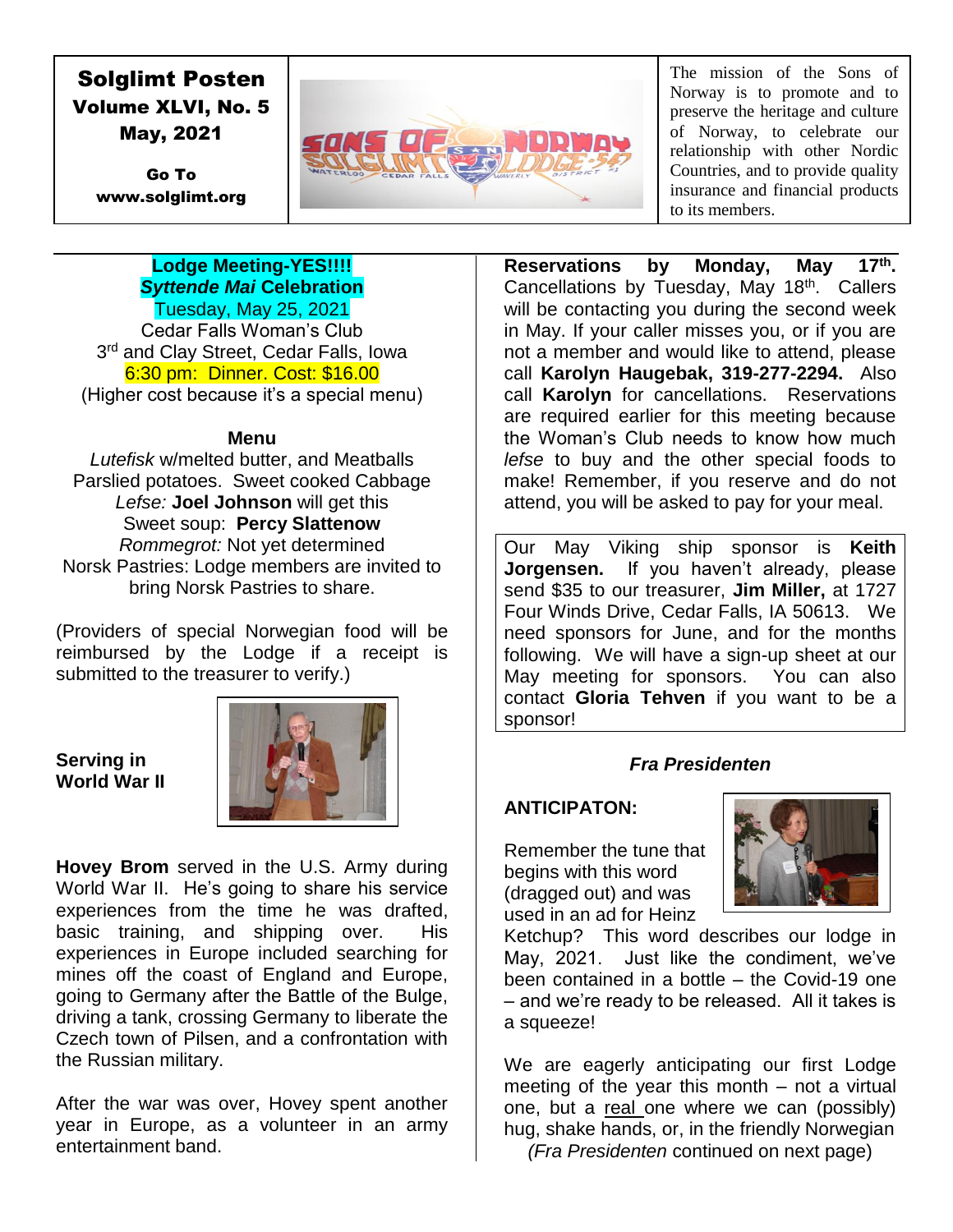# Solglimt Posten Volume XLVI, No. 5 May, 2021

Go To www.solglimt.org



The mission of the Sons of Norway is to promote and to preserve the heritage and culture of Norway, to celebrate our relationship with other Nordic Countries, and to provide quality insurance and financial products to its members.

#### **Lodge Meeting-YES!!!!** *Syttende Mai* **Celebration** Tuesday, May 25, 2021

Cedar Falls Woman's Club 3<sup>rd</sup> and Clay Street, Cedar Falls, Iowa 6:30 pm: Dinner. Cost: \$16.00 (Higher cost because it's a special menu)

### **Menu**

*Lutefisk* w/melted butter, and Meatballs Parslied potatoes. Sweet cooked Cabbage *Lefse:* **Joel Johnson** will get this Sweet soup: **Percy Slattenow** *Rommegrot:* Not yet determined Norsk Pastries: Lodge members are invited to bring Norsk Pastries to share.

(Providers of special Norwegian food will be reimbursed by the Lodge if a receipt is submitted to the treasurer to verify.)

**Serving in World War II**



**Hovey Brom** served in the U.S. Army during World War II. He's going to share his service experiences from the time he was drafted, basic training, and shipping over. His experiences in Europe included searching for mines off the coast of England and Europe, going to Germany after the Battle of the Bulge, driving a tank, crossing Germany to liberate the Czech town of Pilsen, and a confrontation with the Russian military.

After the war was over, Hovey spent another year in Europe, as a volunteer in an army entertainment band.

**Reservations by Monday, May 17th.** Cancellations by Tuesday, May 18<sup>th</sup>. Callers will be contacting you during the second week in May. If your caller misses you, or if you are not a member and would like to attend, please call **Karolyn Haugebak, 319-277-2294.** Also call **Karolyn** for cancellations. Reservations are required earlier for this meeting because the Woman's Club needs to know how much *lefse* to buy and the other special foods to make! Remember, if you reserve and do not attend, you will be asked to pay for your meal.

Our May Viking ship sponsor is **Keith Jorgensen.** If you haven't already, please send \$35 to our treasurer, **Jim Miller,** at 1727 Four Winds Drive, Cedar Falls, IA 50613. We need sponsors for June, and for the months following. We will have a sign-up sheet at our May meeting for sponsors. You can also contact **Gloria Tehven** if you want to be a sponsor!

### *Fra Presidenten*

### **ANTICIPATON:**

Remember the tune that begins with this word (dragged out) and was used in an ad for Heinz



Ketchup? This word describes our lodge in May, 2021. Just like the condiment, we've been contained in a bottle – the Covid-19 one – and we're ready to be released. All it takes is a squeeze!

We are eagerly anticipating our first Lodge meeting of the year this month – not a virtual one, but a real one where we can (possibly) hug, shake hands, or, in the friendly Norwegian *(Fra Presidenten* continued on next page)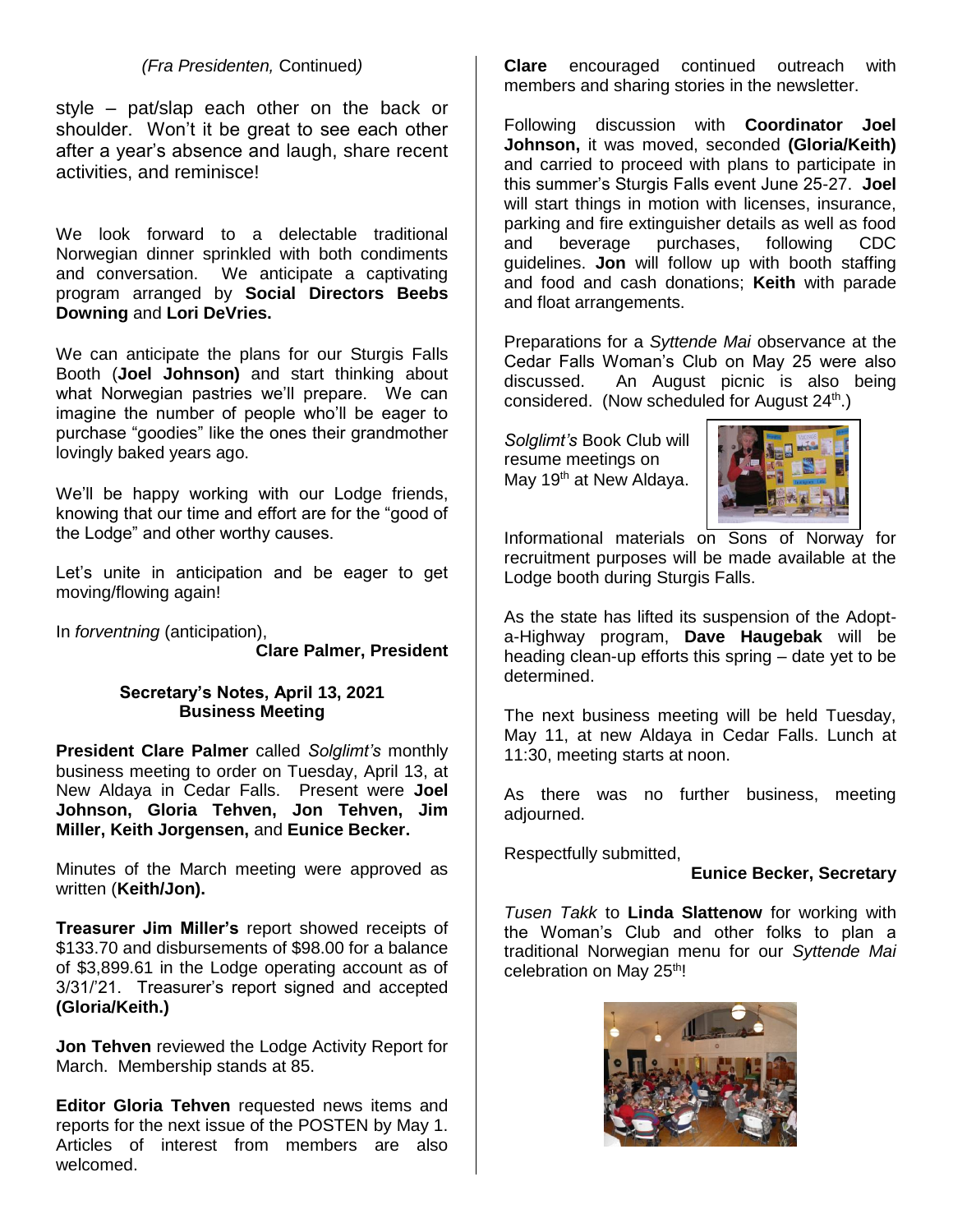### *(Fra Presidenten,* Continued*)*

style – pat/slap each other on the back or shoulder. Won't it be great to see each other after a year's absence and laugh, share recent activities, and reminisce!

We look forward to a delectable traditional Norwegian dinner sprinkled with both condiments and conversation. We anticipate a captivating program arranged by **Social Directors Beebs Downing** and **Lori DeVries.**

We can anticipate the plans for our Sturgis Falls Booth (**Joel Johnson)** and start thinking about what Norwegian pastries we'll prepare. We can imagine the number of people who'll be eager to purchase "goodies" like the ones their grandmother lovingly baked years ago.

We'll be happy working with our Lodge friends, knowing that our time and effort are for the "good of the Lodge" and other worthy causes.

Let's unite in anticipation and be eager to get moving/flowing again!

In *forventning* (anticipation),

**Clare Palmer, President**

#### **Secretary's Notes, April 13, 2021 Business Meeting**

**President Clare Palmer** called *Solglimt's* monthly business meeting to order on Tuesday, April 13, at New Aldaya in Cedar Falls. Present were **Joel Johnson, Gloria Tehven, Jon Tehven, Jim Miller, Keith Jorgensen,** and **Eunice Becker.**

Minutes of the March meeting were approved as written (**Keith/Jon).**

**Treasurer Jim Miller's** report showed receipts of \$133.70 and disbursements of \$98.00 for a balance of \$3,899.61 in the Lodge operating account as of 3/31/'21. Treasurer's report signed and accepted **(Gloria/Keith.)**

**Jon Tehven** reviewed the Lodge Activity Report for March. Membership stands at 85.

**Editor Gloria Tehven** requested news items and reports for the next issue of the POSTEN by May 1. Articles of interest from members are also welcomed.

**Clare** encouraged continued outreach with members and sharing stories in the newsletter.

Following discussion with **Coordinator Joel Johnson,** it was moved, seconded **(Gloria/Keith)**  and carried to proceed with plans to participate in this summer's Sturgis Falls event June 25-27. **Joel**  will start things in motion with licenses, insurance, parking and fire extinguisher details as well as food and beverage purchases, following CDC guidelines. **Jon** will follow up with booth staffing and food and cash donations; **Keith** with parade and float arrangements.

Preparations for a *Syttende Mai* observance at the Cedar Falls Woman's Club on May 25 were also discussed. An August picnic is also being considered. (Now scheduled for August 24<sup>th</sup>.)

*Solglimt's* Book Club will resume meetings on May 19<sup>th</sup> at New Aldaya.



Informational materials on Sons of Norway for recruitment purposes will be made available at the Lodge booth during Sturgis Falls.

As the state has lifted its suspension of the Adopta-Highway program, **Dave Haugebak** will be heading clean-up efforts this spring – date yet to be determined.

The next business meeting will be held Tuesday, May 11, at new Aldaya in Cedar Falls. Lunch at 11:30, meeting starts at noon.

As there was no further business, meeting adjourned.

Respectfully submitted,

#### **Eunice Becker, Secretary**

*Tusen Takk* to **Linda Slattenow** for working with the Woman's Club and other folks to plan a traditional Norwegian menu for our *Syttende Mai*  celebration on May 25<sup>th</sup>!

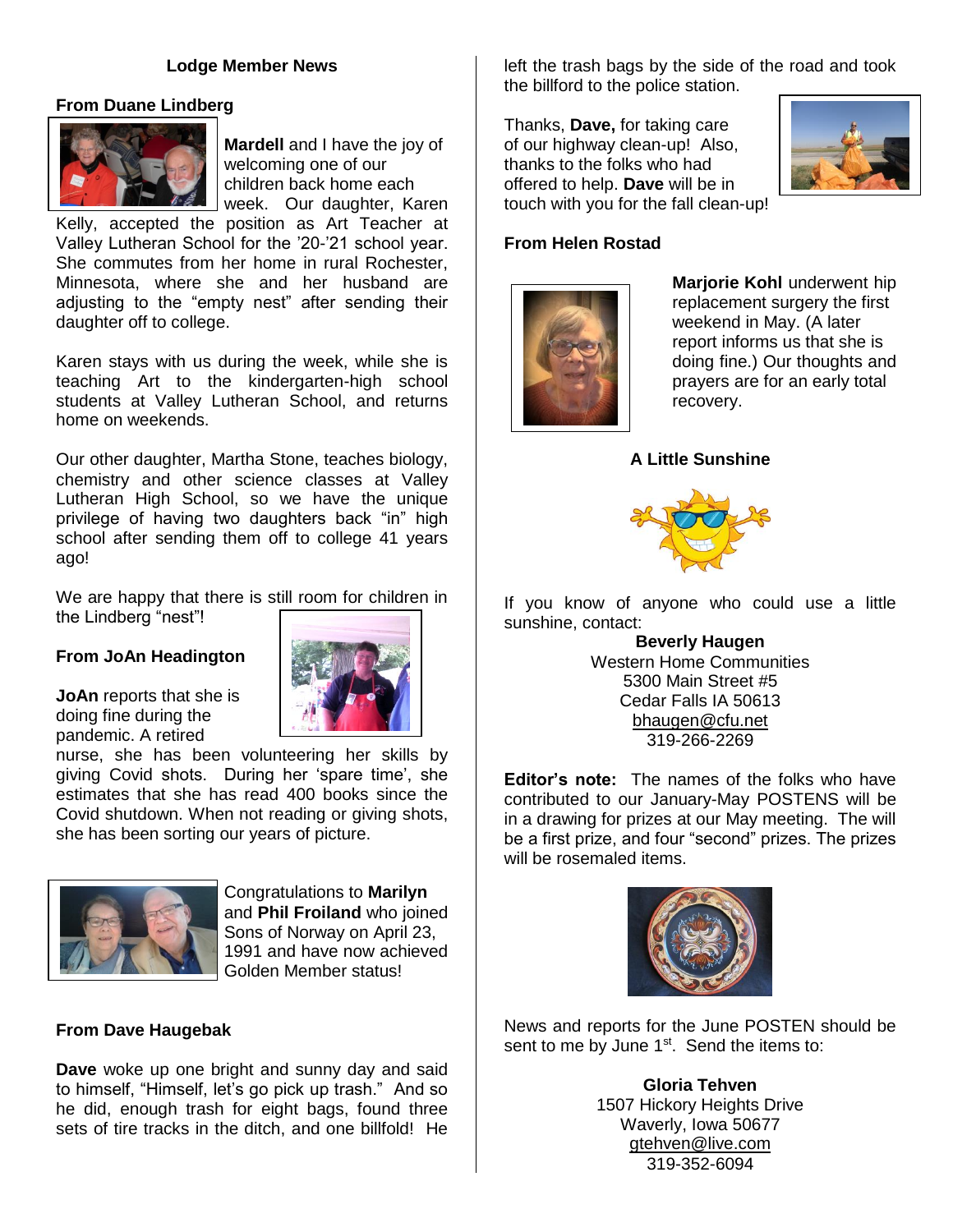#### **Lodge Member News**

#### **From Duane Lindberg**



**Mardell** and I have the joy of welcoming one of our children back home each week. Our daughter, Karen

Kelly, accepted the position as Art Teacher at Valley Lutheran School for the '20-'21 school year. She commutes from her home in rural Rochester, Minnesota, where she and her husband are adjusting to the "empty nest" after sending their daughter off to college.

Karen stays with us during the week, while she is teaching Art to the kindergarten-high school students at Valley Lutheran School, and returns home on weekends.

Our other daughter, Martha Stone, teaches biology, chemistry and other science classes at Valley Lutheran High School, so we have the unique privilege of having two daughters back "in" high school after sending them off to college 41 years ago!

We are happy that there is still room for children in the Lindberg "nest"!

#### **From JoAn Headington**

**JoAn** reports that she is doing fine during the pandemic. A retired



nurse, she has been volunteering her skills by giving Covid shots. During her 'spare time', she estimates that she has read 400 books since the Covid shutdown. When not reading or giving shots, she has been sorting our years of picture.



Congratulations to **Marilyn**  and **Phil Froiland** who joined Sons of Norway on April 23, 1991 and have now achieved Golden Member status!

#### **From Dave Haugebak**

**Dave** woke up one bright and sunny day and said to himself, "Himself, let's go pick up trash." And so he did, enough trash for eight bags, found three sets of tire tracks in the ditch, and one billfold! He

left the trash bags by the side of the road and took the billford to the police station.

Thanks, **Dave,** for taking care of our highway clean-up! Also, thanks to the folks who had offered to help. **Dave** will be in touch with you for the fall clean-up!



#### **From Helen Rostad**



**Marjorie Kohl** underwent hip replacement surgery the first weekend in May. (A later report informs us that she is doing fine.) Our thoughts and prayers are for an early total recovery.

#### **A Little Sunshine**



If you know of anyone who could use a little sunshine, contact:

> **Beverly Haugen** Western Home Communities 5300 Main Street #5 Cedar Falls IA 50613 [bhaugen@cfu.net](mailto:bhaugen@cfu.net) 319-266-2269

**Editor's note:** The names of the folks who have contributed to our January-May POSTENS will be in a drawing for prizes at our May meeting. The will be a first prize, and four "second" prizes. The prizes will be rosemaled items.



News and reports for the June POSTEN should be sent to me by June  $1<sup>st</sup>$ . Send the items to:

> **Gloria Tehven** 1507 Hickory Heights Drive Waverly, Iowa 50677 gtehven@live.com 319-352-6094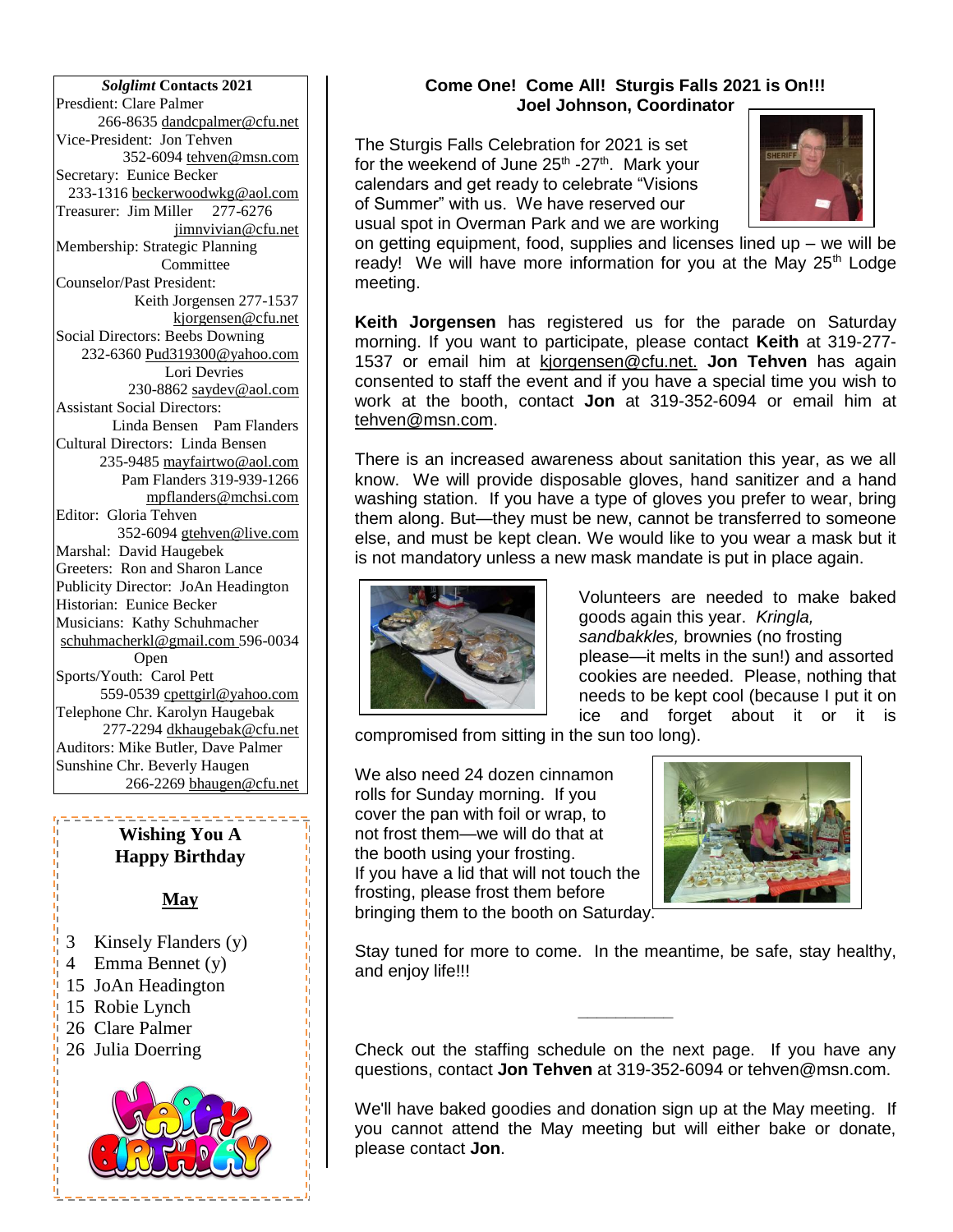*Solglimt* **Contacts 2021** Presdient: Clare Palmer 266-8635 dandcpalmer@cfu.net Vice-President: Jon Tehven 352-6094 tehven@msn.com Secretary: Eunice Becker 233-1316 [beckerwoodwkg@aol.com](mailto:beckerwoodwkg@aol.com) Treasurer: Jim Miller 277-6276 jimnvivian@cfu.net Membership: Strategic Planning **Committee** Counselor/Past President: Keith Jorgensen 277-1537 kjorgensen@cfu.net Social Directors: Beebs Downing 232-6360 Pud319300@yahoo.com Lori Devries 230-8862 saydev@aol.com Assistant Social Directors: Linda Bensen Pam Flanders Cultural Directors: Linda Bensen 235-9485 [mayfairtwo@aol.com](mailto:mayfairtwo@aol.com)  Pam Flanders 319-939-1266 mpflanders@mchsi.com Editor: Gloria Tehven 352-6094 [gtehven@live.com](mailto:gtehven@live.com) Marshal: David Haugebek Greeters: Ron and Sharon Lance Publicity Director: JoAn Headington Historian: Eunice Becker Musicians: Kathy Schuhmacher [schuhmacherkl@gmail.com](mailto:schuhmacherkl@gmail.com) 596-0034 Open Sports/Youth: Carol Pett 559-0539 cpettgirl@yahoo.com Telephone Chr. Karolyn Haugebak 277-2294 [dkhaugebak@cfu.net](mailto:dkhaugebak@cfu.net) Auditors: Mike Butler, Dave Palmer Sunshine Chr. Beverly Haugen 266-2269 bhaugen@cfu.net

### **Wishing You A Happy Birthday**

<u> - - - - - - - - - - - - - - - .</u>

### **May**

机特拉特特拉特特特特特特特特特特特特特特特特特特特特特特特特

- 3 Kinsely Flanders (y)
- 4 Emma Bennet (y)
- 15 JoAn Headington
- 15 Robie Lynch
- 26 Clare Palmer
- 26 Julia Doerring

## **Come One! Come All! Sturgis Falls 2021 is On!!! Joel Johnson, Coordinator**

The Sturgis Falls Celebration for 2021 is set for the weekend of June 25<sup>th</sup> -27<sup>th</sup>. Mark your calendars and get ready to celebrate "Visions of Summer" with us. We have reserved our usual spot in Overman Park and we are working



on getting equipment, food, supplies and licenses lined up – we will be ready! We will have more information for you at the May  $25<sup>th</sup>$  Lodge meeting.

**Keith Jorgensen** has registered us for the parade on Saturday morning. If you want to participate, please contact **Keith** at 319-277- 1537 or email him at [kjorgensen@cfu.net.](mailto:kjorgensen@cfu.net) **Jon Tehven** has again consented to staff the event and if you have a special time you wish to work at the booth, contact **Jon** at 319-352-6094 or email him at [tehven@msn.com.](mailto:tehven@msn.com)

There is an increased awareness about sanitation this year, as we all know. We will provide disposable gloves, hand sanitizer and a hand washing station. If you have a type of gloves you prefer to wear, bring them along. But—they must be new, cannot be transferred to someone else, and must be kept clean. We would like to you wear a mask but it is not mandatory unless a new mask mandate is put in place again.



Volunteers are needed to make baked goods again this year. *Kringla, sandbakkles,* brownies (no frosting please—it melts in the sun!) and assorted cookies are needed. Please, nothing that needs to be kept cool (because I put it on ice and forget about it or it is

compromised from sitting in the sun too long).

We also need 24 dozen cinnamon rolls for Sunday morning. If you cover the pan with foil or wrap, to not frost them—we will do that at the booth using your frosting. If you have a lid that will not touch the frosting, please frost them before bringing them to the booth on Saturday.



Stay tuned for more to come. In the meantime, be safe, stay healthy, and enjoy life!!!

Check out the staffing schedule on the next page. If you have any questions, contact **Jon Tehven** at 319-352-6094 or tehven@msn.com.

**\_\_\_\_\_\_\_\_\_\_**

We'll have baked goodies and donation sign up at the May meeting. If you cannot attend the May meeting but will either bake or donate, please contact **Jon**.